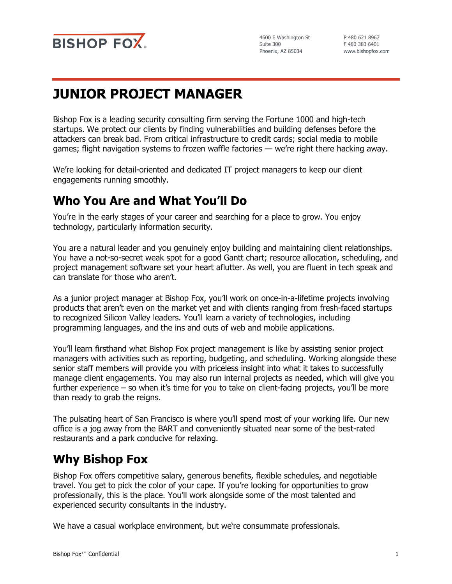

4600 E Washington St Suite 300 Phoenix, AZ 85034

P 480 621 8967 F 480 383 6401 www.bishopfox.com

# **JUNIOR PROJECT MANAGER**

Bishop Fox is a leading security consulting firm serving the Fortune 1000 and high-tech startups. We protect our clients by finding vulnerabilities and building defenses before the attackers can break bad. From critical infrastructure to credit cards; social media to mobile games; flight navigation systems to frozen waffle factories — we're right there hacking away.

We're looking for detail-oriented and dedicated IT project managers to keep our client engagements running smoothly.

#### **Who You Are and What You'll Do**

You're in the early stages of your career and searching for a place to grow. You enjoy technology, particularly information security.

You are a natural leader and you genuinely enjoy building and maintaining client relationships. You have a not-so-secret weak spot for a good Gantt chart; resource allocation, scheduling, and project management software set your heart aflutter. As well, you are fluent in tech speak and can translate for those who aren't.

As a junior project manager at Bishop Fox, you'll work on once-in-a-lifetime projects involving products that aren't even on the market yet and with clients ranging from fresh-faced startups to recognized Silicon Valley leaders. You'll learn a variety of technologies, including programming languages, and the ins and outs of web and mobile applications.

You'll learn firsthand what Bishop Fox project management is like by assisting senior project managers with activities such as reporting, budgeting, and scheduling. Working alongside these senior staff members will provide you with priceless insight into what it takes to successfully manage client engagements. You may also run internal projects as needed, which will give you further experience – so when it's time for you to take on client-facing projects, you'll be more than ready to grab the reigns.

The pulsating heart of San Francisco is where you'll spend most of your working life. Our new office is a jog away from the BART and conveniently situated near some of the best-rated restaurants and a park conducive for relaxing.

## **Why Bishop Fox**

Bishop Fox offers competitive salary, generous benefits, flexible schedules, and negotiable travel. You get to pick the color of your cape. If you're looking for opportunities to grow professionally, this is the place. You'll work alongside some of the most talented and experienced security consultants in the industry.

We have a casual workplace environment, but we're consummate professionals.